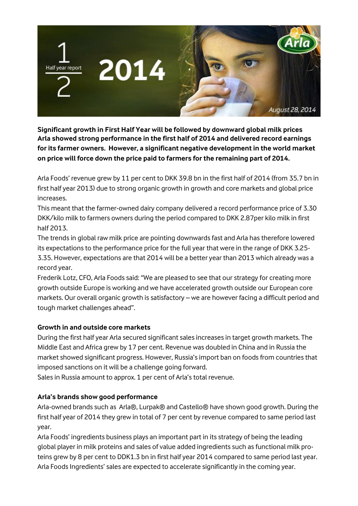

**Significant growth in First Half Year will be followed by downward global milk prices Arla showed strong performance in the first half of 2014 and delivered record earnings for its farmer owners. However, a significant negative development in the world market on price will force down the price paid to farmers for the remaining part of 2014.**

Arla Foods' revenue grew by 11 per cent to DKK 39.8 bn in the first half of 2014 (from 35.7 bn in first half year 2013) due to strong organic growth in growth and core markets and global price increases.

This meant that the farmer-owned dairy company delivered a record performance price of 3.30 DKK/kilo milk to farmers owners during the period compared to DKK 2.87per kilo milk in first half 2013.

The trends in global raw milk price are pointing downwards fast and Arla has therefore lowered its expectations to the performance price for the full year that were in the range of DKK 3.25- 3.35. However, expectations are that 2014 will be a better year than 2013 which already was a record year.

Frederik Lotz, CFO, Arla Foods said: "We are pleased to see that our strategy for creating more growth outside Europe is working and we have accelerated growth outside our European core markets. Our overall organic growth is satisfactory – we are however facing a difficult period and tough market challenges ahead".

### **Growth in and outside core markets**

During the first half year Arla secured significant sales increases in target growth markets. The Middle East and Africa grew by 17 per cent. Revenue was doubled in China and in Russia the market showed significant progress. However, Russia's import ban on foods from countries that imposed sanctions on it will be a challenge going forward.

Sales in Russia amount to approx. 1 per cent of Arla's total revenue.

# **Arla's brands show good performance**

Arla-owned brands such as Arla®, Lurpak® and Castello® have shown good growth. During the first half year of 2014 they grew in total of 7 per cent by revenue compared to same period last year.

Arla Foods' ingredients business plays an important part in its strategy of being the leading global player in milk proteins and sales of value added ingredients such as functional milk proteins grew by 8 per cent to DDK1.3 bn in first half year 2014 compared to same period last year. Arla Foods Ingredients' sales are expected to accelerate significantly in the coming year.